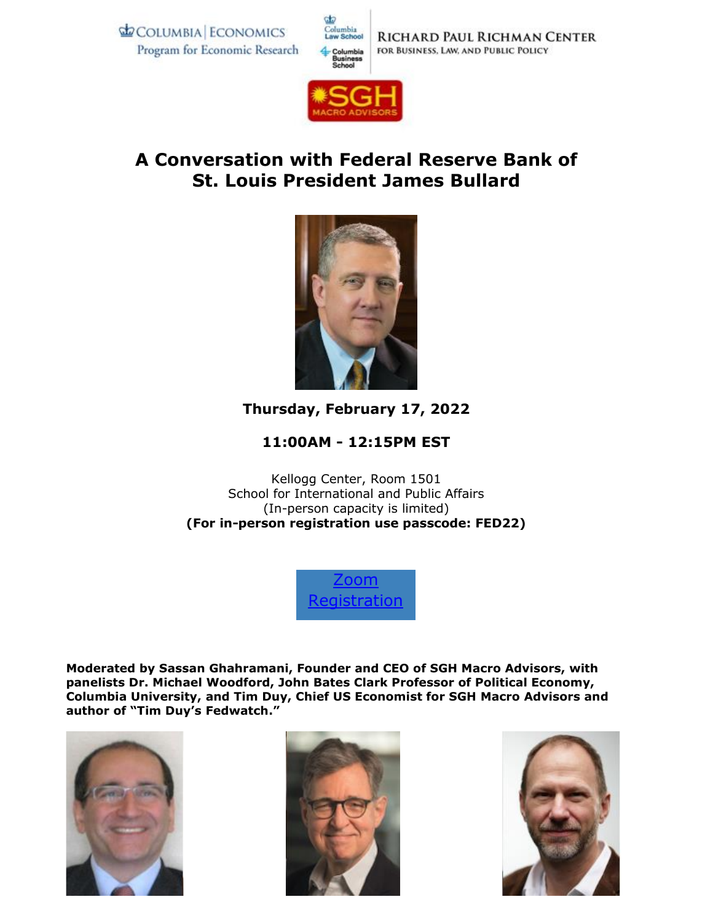**ECOLUMBIA ECONOMICS** Program for Economic Research





## **A Conversation with Federal Reserve Bank of St. Louis President James Bullard**



## **Thursday, February 17, 2022**

## **11:00AM - 12:15PM EST**

Kellogg Center, Room 1501 School for International and Public Affairs (In-person capacity is limited) **(For in-person registration use passcode: FED22)** 

> [Zoom](https://gsb-columbia-edu.zoom.us/webinar/register/WN_xJ17CBp-Q-K3S3uFUASagQ)  **[Registration](https://gsb-columbia-edu.zoom.us/webinar/register/WN_xJ17CBp-Q-K3S3uFUASagQ)**

**Moderated by Sassan Ghahramani, Founder and CEO of SGH Macro Advisors, with panelists Dr. Michael Woodford, John Bates Clark Professor of Political Economy, Columbia University, and Tim Duy, Chief US Economist for SGH Macro Advisors and author of "Tim Duy's Fedwatch."**